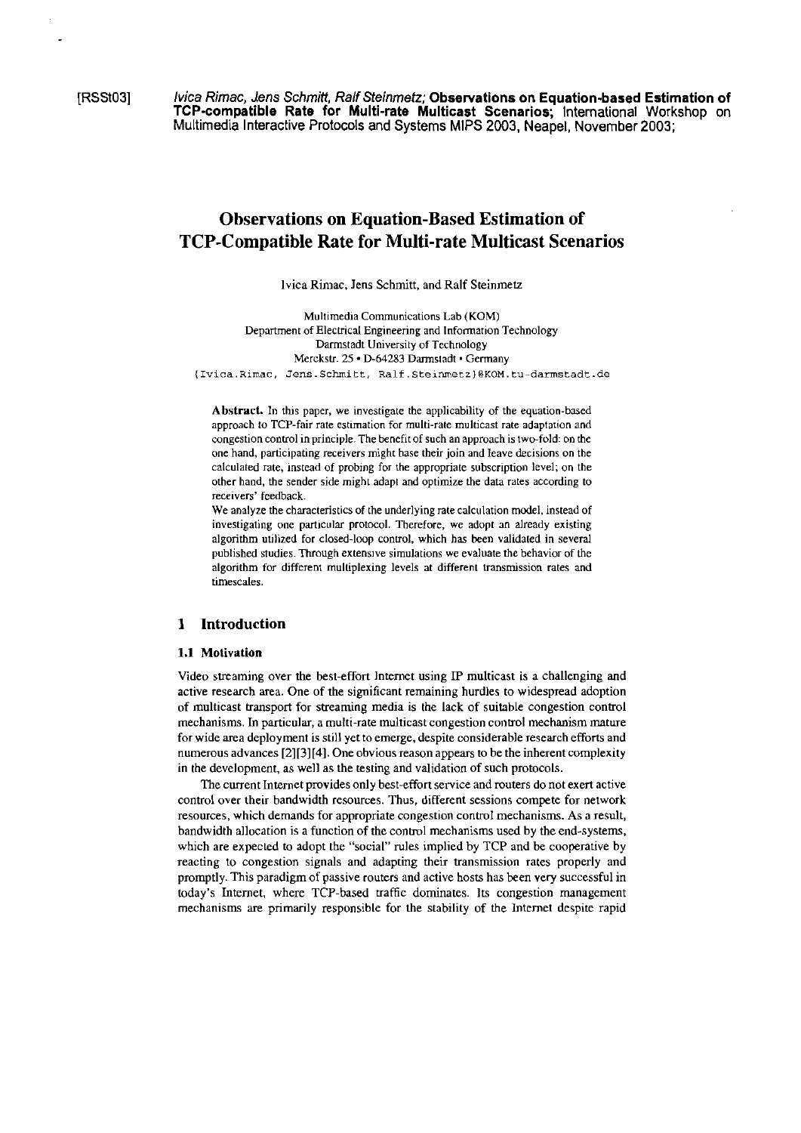[RSSt03] lvica Rimac, Jens Schmitt, Ralf Steinmetz; **Observations on Equation-based Estirnation of**  TCP-compatible Rate for Multi-rate Multicast Scenarios; International Workshop on **Multimedia Interactive Protocols and Systems MIPS 2003, Neapel, November 2003;** 

# **Observations on Equation-Based Estimation of TCP-Compatible Rate for Multi-rate Multicast Scenarios**

lvica Riniac, Jens Schmitt, and Ralf Steinmetz

Multimedia Communications Lab (KOM) Department of Electrical Engineering and Information Technology Darmstadt University of Technology Merckstr. 25 · D-64283 Darmstadt · Germany **lIvica.Rirnac. Jens.Schmitt, Ralf.Steimetzl@KOM.tu-darmstadt.de** 

Abstract. In this paper, we investigate the applicability of the equation-based approach to TCP-fair rate estimation for multi-rate multicast rate adaptaiion and congestion control in principle. The benefit of such an approach is two-fold: on the one hand, participating receivers might base their join and leave decisions on the calculated rate, instead of prohing for the appropriate subscription level; on the other hand, the sender side might adapi and optimize the data rates according to receivers' feedhack.

We analyze the characteristics of the underlying rate calculation model, instead of investigating one parlicular protocol. Therefore, we adopt an already existing algorithm utilized for closed-loop control, which has been validated in several puhlished studies. Tlirough extensive simulations we evaluate the behavior of the algorithm for different multiplexing levels at different transmission rates and timescales.

### **1 Introduction**

#### 1.1 Motivation

Video streaming over the hest-effort lntemet using IP multicast is a challenging and active research area. One of the significant remaining hurdles to widespread adoption of multicast transport for streaming media is the lack of suitable congestion control mechanisms. In particular, a multi-rate multicast congestion control mechanism mature for wide area deployment is still yet to emerge, despite considerahle research efforts and numerous advances [2][3] **[4].** One obvious reason appears to he the inherent complexity in the development, as well as the testing and validation of such protocols.

The current Internet provides only best-effort service and routers do not exert active control over their bandwidth resources. Thus, different sessions compete for network resources, which demands for appropriate congestion control mechanisms. As a result, bandwidth allocation is a function of the control mechanisms used by the end-systems, which are expected to adopt the "social" rules implied by TCP and be cooperative by reacting to congestion signals and adapung their transmission rates properly and promptly. This paradigm of passive routcrs and active hosts has ken very successful in today's Intemet. where TCP-based traffic dominates. Its congestion management mechanisms are primarily responsihle for the stability of the Intemet despite rapid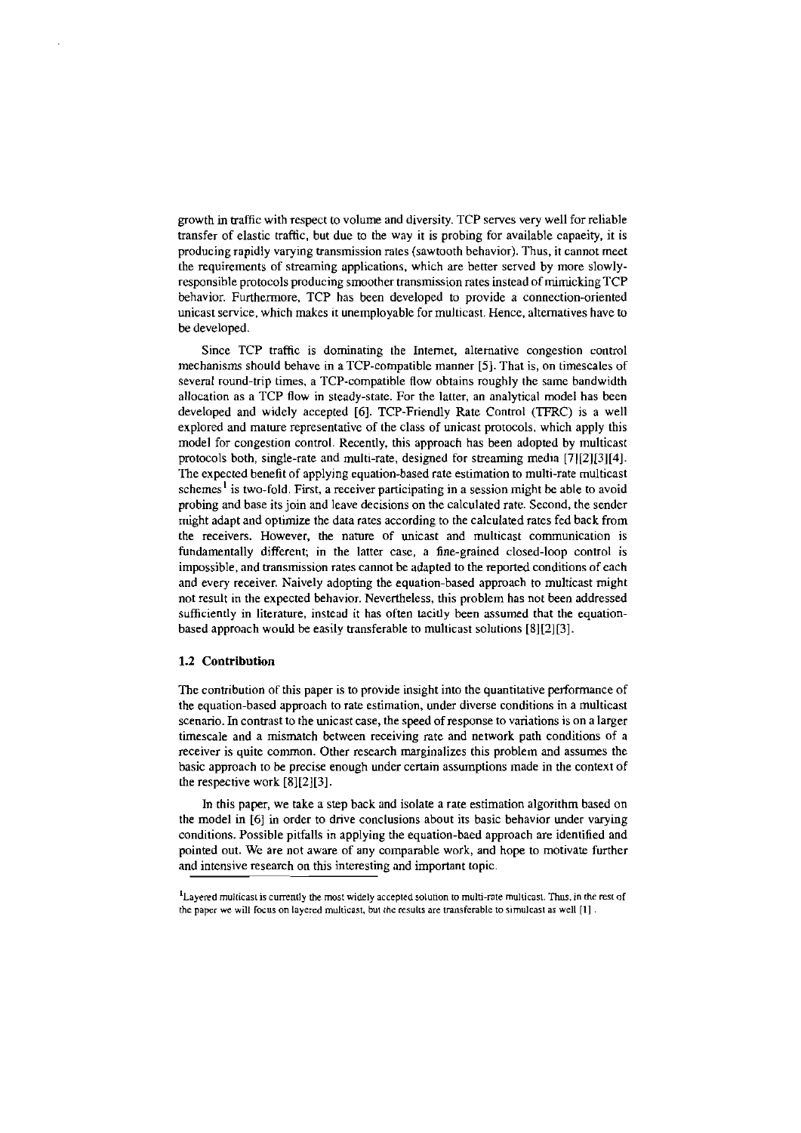growth in traffic with respect to volume and diversity. TCP serves very well for reliable transfer of elastic traflic. but due to the way it is probing for available capaeity, it is producing rapidly varying transmission rates (sawtooth behavior). Thus, it cannot meet the requirements of streaming applications, which are better served by more slowlyresponsible protocols producing smoother transmission rates instead of mimicking TCP behavior. Furthemore, TCP has been developed to provide a connection-oriented unicast service, which makes it unemployable for muliicast. Hence. alternatives have to be developed.

Since TCP traffic is dominating the Intemet, alternative congestion control mechanisms should behave in aTCP-compatible manner *[5].* That is, on timescales of several round-trip times, a TCP-compatible flow obtains roughly the same bandwidth allocation as a TCP flow in steady-state. For the latter, an analytical model has been developed and widely accepted [6]. TCP-Friendly Rate Control (TFRC) is a well explored and mature representative of the class of unicast protocols, which apply this model for congestion control. Recently, this approach has been adopted by multicast protocols both, single-rate and multi-rate, designed for streaming media [7)[2)[31[4]. The expected benefit of applying equation-based rate estimation to multi-rate multicast schemesl is two-fold. First, a receiver participating in a session might **be** able to avoid probing and base its join and leave decisions on the calculated rate. Second, the sender might adapt and optimize the data rates according to the calculated rates fed back from the receivers. However, the nature of unicast and multicast communication is fundamentally different; in the latter case, a fine-grained closed-loop control is impossible, and eansmission rates cannot be adapted to the reported conditions of each and every receiver. Naively adopting the equation-based appmach to multicast might not result in the expected behavior. Nevertheless, this problem has not been addressed sufficiently in literature, instead it has often tacitly been assumed that the equationbased approach would be easily transferable to multicast solutions [81[21[3].

#### **1.2 Contribution**

The contribution of this paper is to provide insight into the quantitative performance of the equation-based approach to rate estimation, under diverse conditions in a multicast scenario. In contrast to the unicast case, the speed of respnse to variations is on a larger timescale and a mismatch between receiving rate and network path conditions of a receiver is quite common. Other research marginalizes this problem and assumes the basic approach to be precise enough under certain assumptions made in the context of the respective work [8][2][3].

In this paper, we take a step back and isolate a rate estimation algorithm based on the model in [6] in order to drive conclusions about its basic behavior under varying conditions. Possible pitfalls in applying the equation-baed approach are identified and pointed out. We are not aware of any comparable work, and hope to motivate further and intensive research on this interesting and important topic.

<sup>&</sup>lt;sup>1</sup>Layered multicast is currently the most widely accepted solution to multi-rate multicast. Thus, in the rest of **the paper we will focus on layered multicast, but the results are transferable to simulcast as well [1].**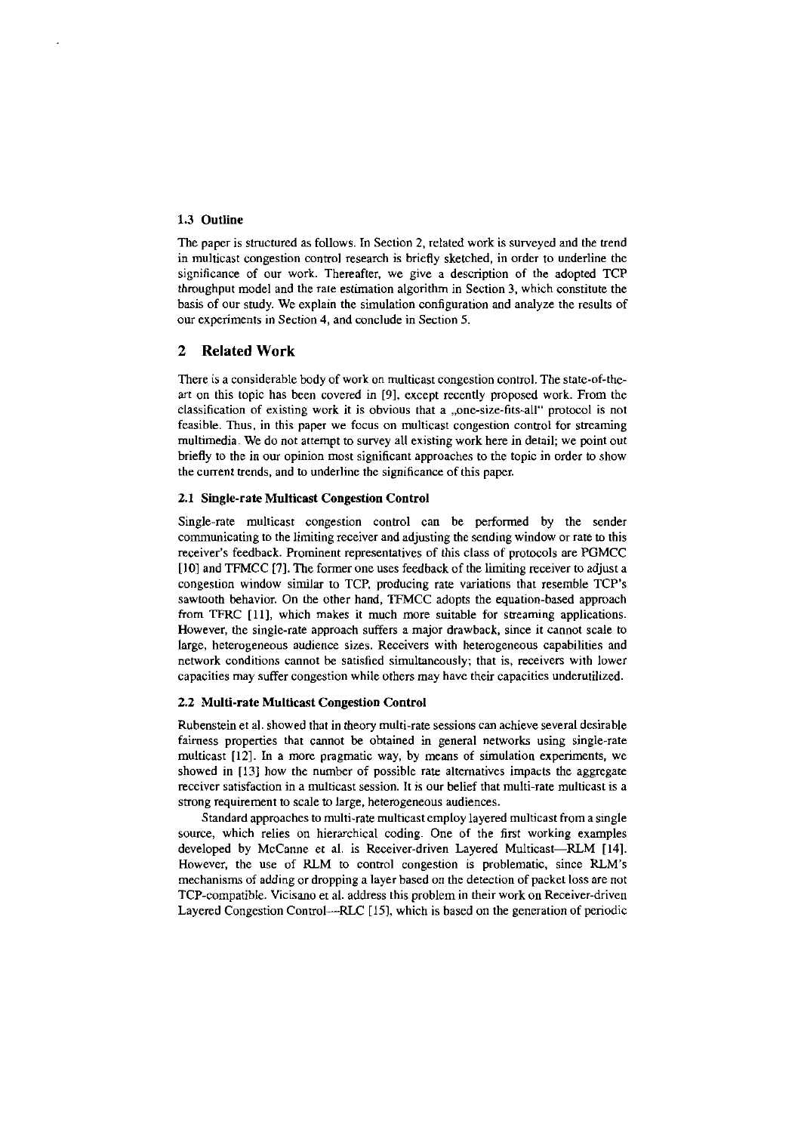### 1.3 Outline

The paper is structured as follows. In Section **2.** related work is surveyed and the uend in multicast congestion control research is hriefly sketched, in order to underline the significance of our work. Thereafter. we give a description of the adopted TCP throughput model and the rate estimation algorithm in Section **3.** which constitute the basis of our study. We explain the simulation configuration and analyze the results of our experiments in Section 4, and conclude in Section 5.

### **2 Related Work**

There is a considerable body of work on multicast congestion control. The state-of-theart on this topic has heen covered in **[9],** except recently proposed work. From the classification of existing work it is ohvious that a ,one-size-fits-all" pmtocol is not feasible. Thus, in this paper we focus on multicast congestion conuol for sueaming multimedia. We do not attempt to survey all existing work here in detail; we point out briefly to the in our opinion most significant approaches to the topic in order to show the current uends, and to underline the significance of this paper.

#### 2.1 Single-rate Multicast Congestion Control

Single-rate multicast congestion control can be performed by the sender communicating to the limiting receiver and adjusting the sending window or rate **to** this receiver's feedhack. Prominent representatives of this class of protocols are PGMCC [I01 and TFMCC **[7].** The fomer one uses feedback of the limiting receiver to adjust a congestion window similar to TCP, producing rate variations that resemhle TCP's sawtooth behavior. On the other hand, TFMCC adopts the equation-based approach from TFRC [11], which makes it much more suitable for streaming applications. However, the single-rate approach suffers a major drawhack, since it cannot scale to large, heterogeneous audience sizes. Receivers with heterogeneous capahilities and network conditions cannot be satisfied simultaneously; that is, receivers with lower capacities may suffer congestion while others may have their capacities underutilized.

#### 2.2 Multi-rate Multicast Congestion Control

Ruhenstein et al. showed that in theory multi-rate sessions can achieve several desirahle faimess properties that cannot be obtained in general networks using single-rate multicast **[12].** In a more pragmatic way, hy means of simulation experiments, we showed in (131 how the number of possihle rate alternatives impacts the aggregate receiver satisfaction in a multicast session. It is our belief that multi-rate multicast is a strong requuement to scale to large, hetemgeneous audiences.

Standard approaches to multi-rate multicast employ layered multicast from a single source, which relies on hierarchical coding. One of the first working examples developed by McCanne et al. is Receiver-driven Layered Multicast-RLM [14]. However, the use of RLM to control congestion is problematic, since RLM's mechanisms of adding or dropping a layer based on the detection of packet loss are not TCP-compatible. Vicisano et al. address this prohlem in their work on Receiver-driven Layered Congestion Control—RLC [15], which is based on the generation of periodic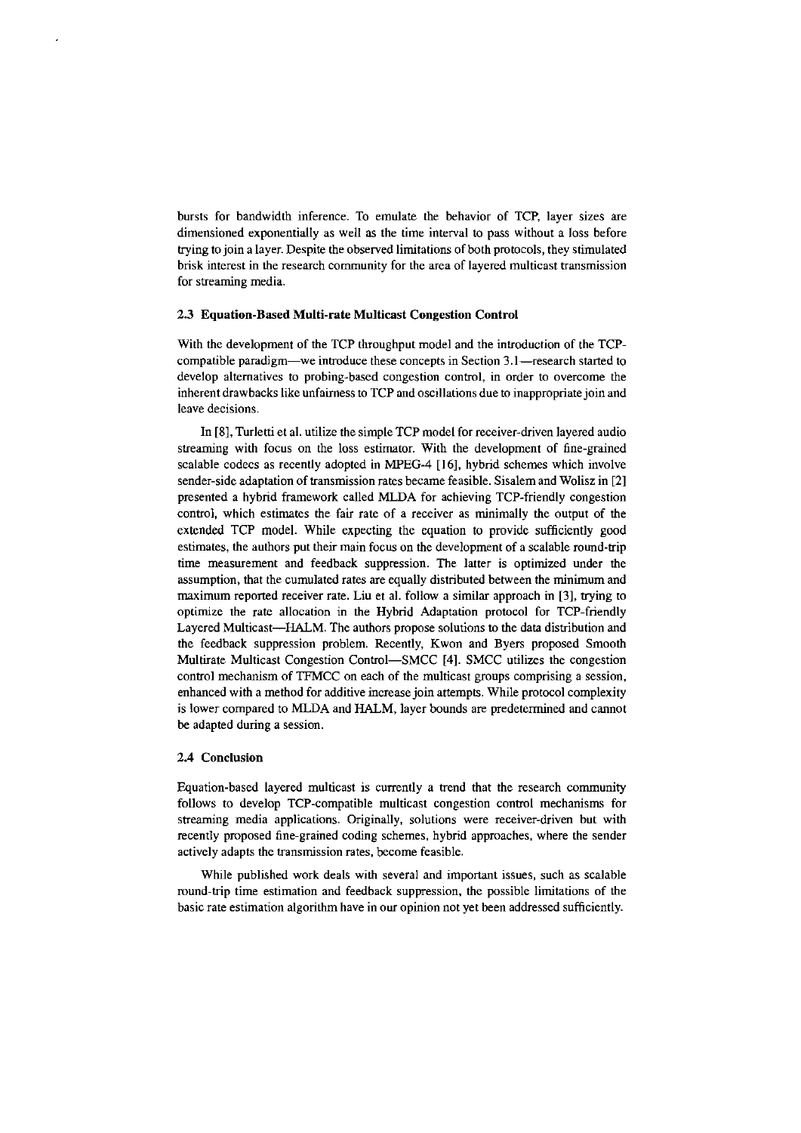bursts for bandwidth inference. To emulate the behavior of TCP, layer sizes are dimensioned exponentially as well **as** the time interval to pass without a loss before trying to join a layer. Despite the observed limitations of both protocols, they stimulated brisk interest in the research community for the area of layered multicast transmission for streaming media.

### **2.3 Equation-Based Multi-rate Multicast Congestion Control**

With the development of the TCP throughput model and the introduction of the TCPcompatible paradigm-we introduce these concepts in Section 3.1-research started to develop alternatives **to** probing-based congestion control, in order to overcome the inherent drawbacks like unfaimess to TCP and oscillations due to inappropriate join and leave decisions.

In [81, Turletti et al. utilize the simple TCP model for receiver-driven layered audio streaming with focus on the loss estimator. With the development of fine-grained scalable codecs as recently adopted in **MPEG-4** [16]. hybrid schemes which involve sender-side adaptation of transmission rates became feasible. Sisalem and Wolisz in **[2]**  presented a hybrid framework called MLDA for achieving TCP-friendly congestion control. which estimates the fair rate of a receiver as minimally the output of the extended TCP model. While expecting the equation **to** provide sufficiently good estimates, the authors put their main focus on the development of a scalable round-trip time measurement and feedback suppression. The latter is optimized under the assumption, that the cumulated rates are equally distributed between the minimum and maximum reported receiver rate. Liu et al. follow a similar approach in [3], trying to optimize the rate allocation in the Hybrid Adaptation protocol for TCP-friendly Layered Multicast-HALM. The authors propose solutions **to** the data distribution and the feedback suppression problem. Recently, Kwon and Byers proposed Smooth Multirate Multicast Congestion Control-SMCC [4]. SMCC utilizes the congestion control mechanism of TFMCC on each of the multicast groups comprising a session. enhanced with a method for additive increase join attempts. While protocol complexity is lower compared to MLDA and HALM, layer bounds are predetennined and cannot **be** adapted during a session.

### **2.4 Conclusion**

Equation-based layered multicast is currently a trend that the research community follows to develop TCP-compatible multicast congestion control mechanisms for streaming media applications. Originally, solutions were receiver-driven but with recently proposed fine-grained coding schemes, hybrid approaches, where the sender actively adapts the transmission rates. become feasible.

While published work deals with several and important issues, such as scalable mund-trip time estimation and feedback suppression. the possible limitations of the basic rate estimation algorithm have in our opinion not yet been addressed sufficiently.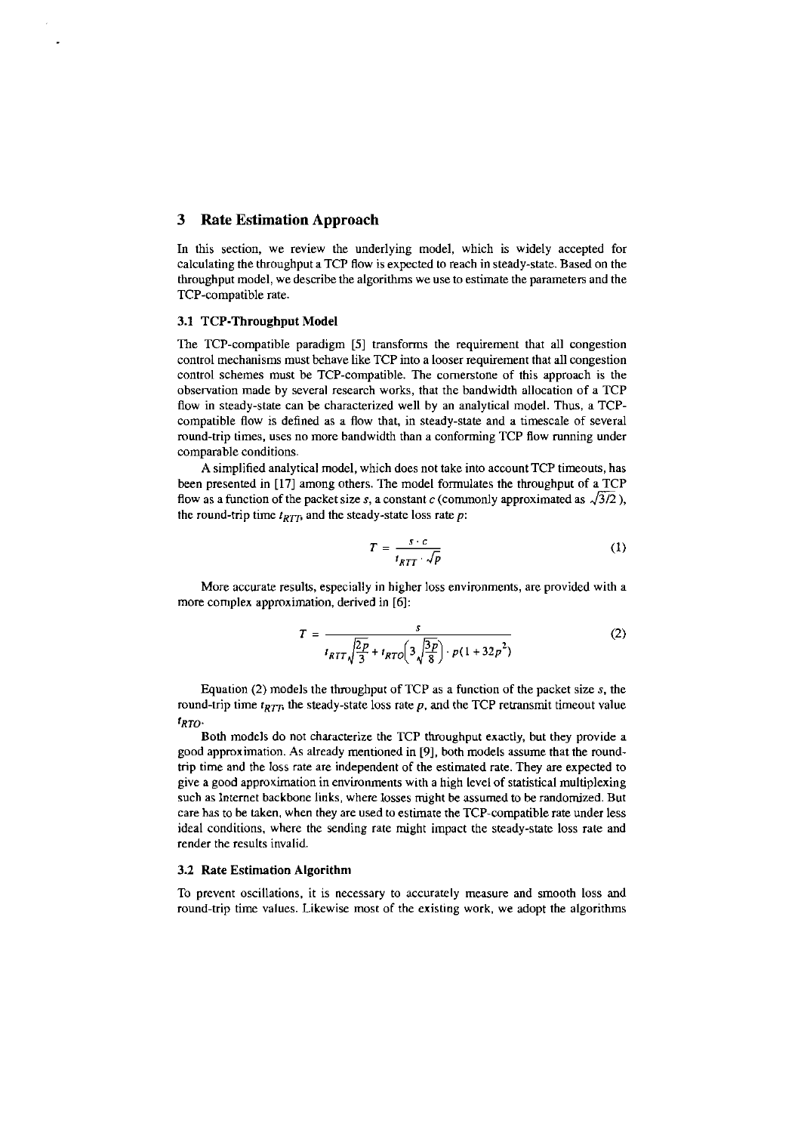### **3 Rate Estimation Approach**

In this section, we review the underlying model, which is widely accepted for calculating the throughput a TCP flow is expected to reach in steady-stak. Based on the throughput model, we describe the algorithms we use to estimate the parameters and the TCP-compatible rate.

#### 3.1 TCP-Throughput Model

The TCP-compatible paradigm [5] transforms the requirement that all congestion control mechanisms must behave like TCP into a looser requirement that all congestion control schemes must be TCP-compatible. The cornerstone of this approach is the observation made by several research works, that the bandwidth allocation of a TCP flow in steady-state can be characterized well by an analytical model. Thus, a TCPcompatible flow is defined as a flow that, in steady-state and a timescale of several round-trip times, uses no more bandwidth than a conforming TCP flow running under comparable conditions.

**A** simplified analytical model, which does not take in10 account TCP timeouts, has been presented in [17] among others. The model formulates the throughput of a TCP flow as a function of the packet size s, a constant c (commonly approximated as  $\sqrt{3}/2$ ), the round-trip time  $t_{RT}$  and the steady-state loss rate p:

$$
T = \frac{s \cdot c}{t_{RTT} \cdot \sqrt{p}} \tag{1}
$$

More accurate results, especially in higher loss environments, are provided with a more complex approximation, derived in [6]:

$$
T = \frac{s}{t_{RTT} \sqrt{\frac{2p}{3}} + t_{RTO} \left( 3 \sqrt{\frac{3p}{8}} \right) \cdot p(1 + 32p^2)}
$$
(2)

Equation **(2)** models the throughput of TCP as a function of the packet size **s.** the round-trip time  $t_{RTT}$ , the steady-state loss rate  $p$ , and the TCP retransmit timeout value  $1870.$ 

Both models do not characterize the TCP throughput exactly, but they provide a good approximation. As already mentioned in [9], both models assume that the roundtrip time and the loss rate are independent of the estimated rate. They are expected to give a good approximation in environments with a high level of statistical multiplexing such as lntemet backbone links, where lasses might be assumed to **be** randomized. But care has to be taken. when they are used to estimate the TCP-compatible rate under less ideal conditions. where the sending rate might impact the steady-state lass rate and render the results invalid.

### 3.2 Rate Estimation Algorithm

To prevent oscillations. it is necessary to accurately measure and smooth loss and round-trip time values. Likewise most of the existing work. we adopt the algorithms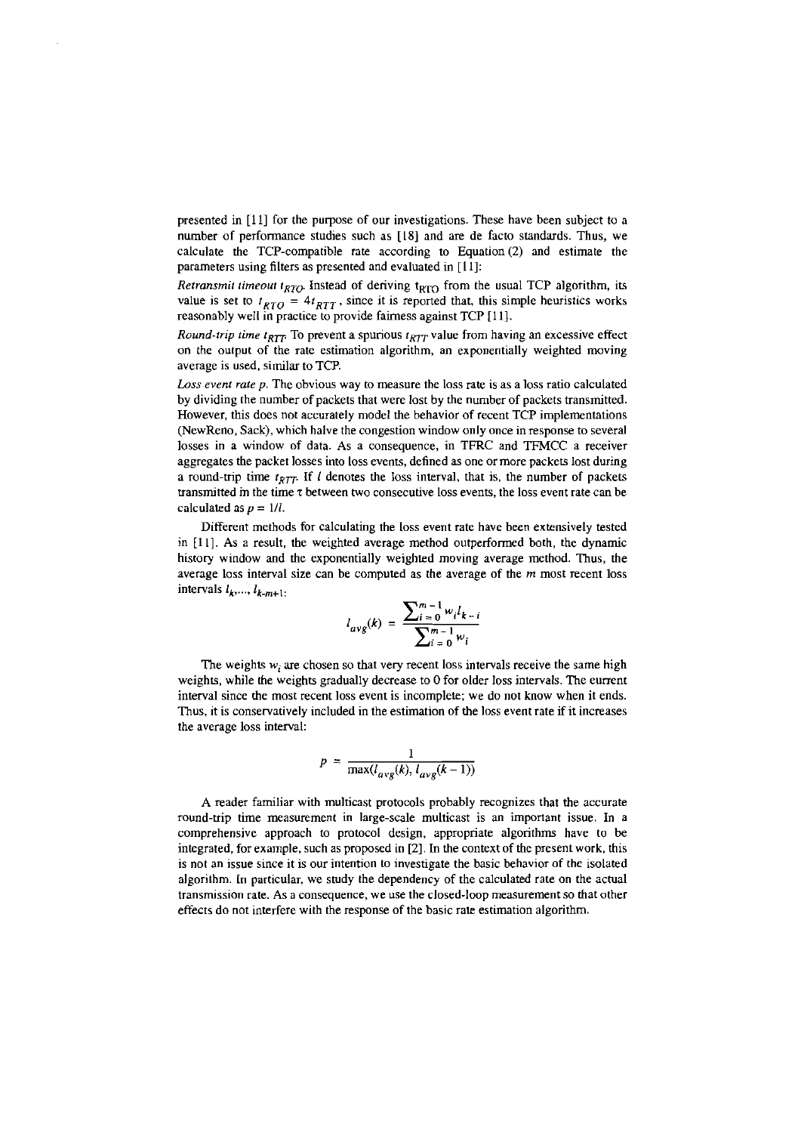presented in [ll] for the purpose of our investigations. These have been subject to a number of performance studies such as [I81 and are de facto standards. Thus, we calculate the TCP-compatible rate according to Equation (2) and estimate the parameters using filters as presented and evaluated in [11]:

Retransmit timeout  $t_{RTO}$ . Instead of deriving  $t_{RTO}$  from the usual TCP algorithm, its value is set to  $t_{RTO} = 4t_{RTT}$ , since it is reported that, this simple heuristics works reasonably weil in practice to provide faimess against TCP [II].

Round-trip time  $t_{RTT}$ . To prevent a spurious  $t_{RTT}$  value from having an excessive effect on the output of the rate estimation algorithm, an exponentially weighted moving average is used. similar to TCP.

*Loss* event rate p. The obvious way to measure the loss rate is as a loss ratio calculated by dividing the number of packets that were lost by the number of packets transmitted. However, this does not accurately model the behavior of recent TCP implementations (NewReno, Sack), which halve the congestion window only once in response to several losses in a window of data. As a consequence, in TFRC and TFMCC a receiver aggregates the packet losses into loss events, defined as one or more packets lost during a round-trip time  $t_{RTT}$ . If *l* denotes the loss interval, that is, the number of packets transmitted in the time  $\tau$  between two consecutive loss events, the loss event rate can be calculated as  $p = 1/l$ .

Different methods for calculating the loss event rate have heen extensively tested in **[I** I]. As a result, the weighted average method outperformed hoth. the dynamic history window and the exponentially weighted moving average method. Thus, the average loss interval size can be computed as the average of the  $m$  most recent loss intervals  $l_k, \ldots, l_{k-m+1}$ .

$$
l_{avg}(k) = \frac{\sum_{i=0}^{m-1} w_i l_{k-i}}{\sum_{i=0}^{m-1} w_i}
$$

The weights  $w_i$  are chosen so that very recent loss intervals receive the same high weights, while the weights gradually decrease to **0** for older loss intervals. The eurrent interval since the most recent loss event is incomplete; we do not know when it ends. Thus, it is conservatively included in the estimation of the loss event rate if it increases the average loss interval:

$$
p = \frac{1}{\max(l_{avg}(k), l_{avg}(k-1))}
$$

A reader familiar with multicast protocols probably recognizes that the accurate round-trip time measurement in large-scale multicast is an important issue. In a comprehensive approach to pmtocol design, appropriate algorithms have to **be**  integrated, for example, such as proposed in [2]. In the context of the present work, this is not an issue since it is our intention to investigate the basic behavior of the isolated algorithm. In particular, we study the dependency of the calculated rate on the actual transmission rate. As a consequence, we use the closed-loop measurement so that other effects do not interfere with the response of the basic rate estimation algorithm.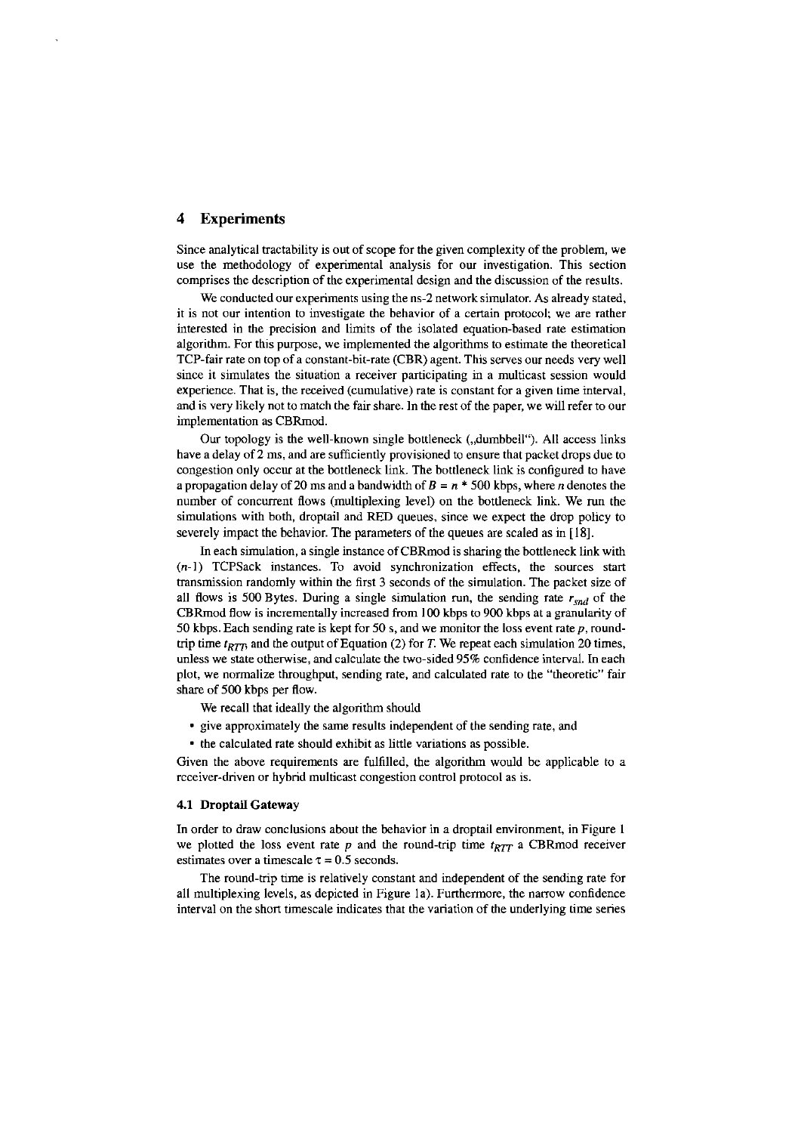### **4 Experiments**

Since analytical tractability is out of scope for the given complexity of the problem, we use the metbodology of experimental analysis for our investigation. This section comprises the description of the experimental design and the discussion of the results.

We conducted our experiments using the ns-2 networksimulator. As already stated, it is not our intention to investigate the behavior of a certain protocol; we are rather interested in the precision and limits of the isolated equation-based rate estimation algoritbm. For this purpose, we implemented the algorithms to estimate tbe theoretical TCP-fair rate on top of a constant-bit-rate (CBR) agent. This serves our needs very well since it simulates the situation a receiver participating in a multicast session would experience. That is, the received (cumulative) rate is constant for a given time interval, and is very likely not to match the fair share. In the rest of the paper, we will refer to our implementation as CBRmod.

Our topology is the well-known single bottleneck (..dumbbell"). All access links have a delay of 2 ms, and are sufficiently provisioned to ensure that packet drops due to congestion only occur at the bottleneck link. The bottleneck link is configured to have a propagation delay of 20 ms and a bandwidth of  $B = n * 500$  kbps, where *n* denotes the number of concurrent flows (multiplexing level) on the bottleneck link. We mn the simulations with both, droptail and **RED** queues, since we expect the drop policy to severely impact the behavior. The parameters of the queues are scaled as in [18].

In each simulation, a single instance of CBRmod is sharing the bottleneck link with  $(n-1)$  TCPSack instances. To avoid synchronization effects, the sources start transmission randomly within the first 3 seconds of the simulation. The packet size of all flows is 500 Bytes. During a single simulation run, the sending rate  $r_{\text{snd}}$  of the CBRmod flow is incrementally increased from 100 kbps to 900 kbps at a granularity of 50 kbps. Each sending rate is kept for 50 s, and we monitor the loss event rate  $p$ , roundtrip time  $t_{\text{RTT}}$ , and the output of Equation (2) for *T*. We repeat each simulation 20 times, unless we state otherwise, and calculate the two-sided 95% confidence interval. In each plot, we normalize throughput, sending rate, and calculated rate to the "tbeoretic" fair share of 500 kbps per flow.

We recall that ideally the algorithm should

- give approximately the same results independent of the sending rate, and
- the calculated rate should exhibit as little variations as possible.

Given the above requirements are fulfilled, the algorithm would be applicable to a rcceiver-driven or hybrid multicast congestion control protocol as is.

#### 4.1 DroptaiI Gateway

In order to draw conclusions about the behavior in a droptail environment, in Figure I we plotted the loss event rate  $p$  and the round-trip time  $t_{RTT}$  a CBRmod receiver estimates over a timescale  $\tau = 0.5$  seconds.

The round-trip time is relatively constant and independent of the sending rate for all multiplexing levels, as depicted in Figure la). Furthermore, the narrow confidence interval on the short timescale indicates that the variation of the underlying time series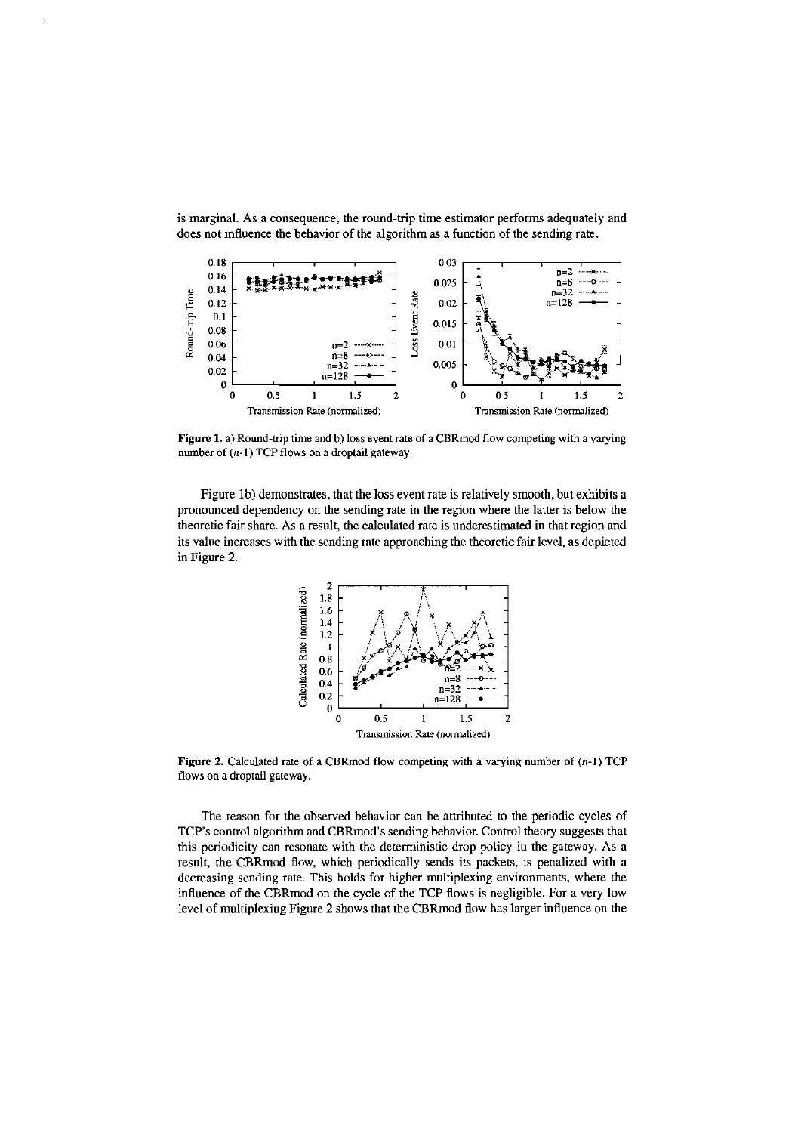is marginal. As a consequence, the round-trip time estimator performs adequately and does not influence the behavior of the algorithm as a function of the sending rate.



**Figure 1. a) Round-trip time and b) loss event rate of a CBRmod flow competing with a varying** number of  $(n-1)$  TCP flows on a droptail gateway.

Figure lb) demonstrates, that the loss event rate is relatively smooth, but exhibits a pronounced dependency on the sendiig rate in the region where the latter is below the theoretic fair share. As a result, the calculated rate is underestimated in that region and its value increases with the sending rate approaching the theoretic fair level. as depicted in Figure 2.



**Figure 2.** Calculated rate of a CBRmod flow competing with a varying number of  $(n-1)$  TCP flows on a droptail gateway.

The reason for the observed behavior can be attributed to the periodic cycles of TCP's control algorithm and CBRmod's sending behavior. Control theory suggests that this periodicity can resonate with the deterministic drop policy in the gateway. As a result, the CBRmod flow, which periodically sends its packets, is penalized with a decreasing sending rate. This holds for higher multiplexing environments, where the influence of the CBRmod on the cycle of the TCP flows is negligible. For a very low level of multiplexiug Figure 2 shows that the CBRmod flow has larger influence on the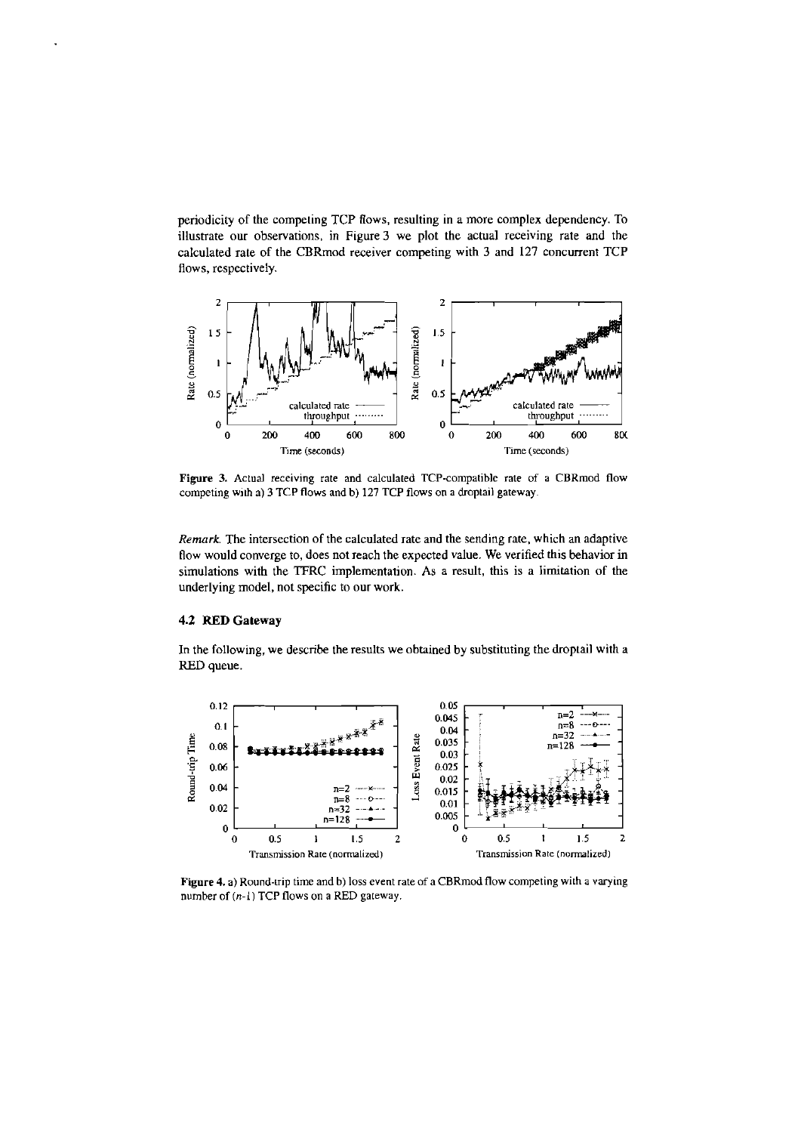periodicity of the competing TCP flows, resulting in a more complex dependency. To illustrate our obsewations, in Figure 3 we plot the actual receiving rate and the calculated rate of the CBRmod receiver competing with 3 and 127 concurrent TCP flows, respectively.



**Figure** 3. Actual receiving rate and calculated TCP-compatible rate of **a** CBRmod flow competing wiih a) 3 TCP flows and **b)** 127 TCP flows on a droptail gateway.

**Remark.** The intersection of the calculated rate and the sending rate. which an adaptive flow would converge to, does not reach the expected value. We verified this behavior in simulations with the TFRC implementation. As a result, this is a limitation of the underlying model, not specific to our work.

### **4.2 RED Gateway**

In the following, we describe the results we obtained by substituting the droptail with a RED queue.



Figure 4. a) Round-trip time and b) loss event rate of a CBRmod flow competing with a varying number of  $(n-1)$  TCP flows on a RED gateway.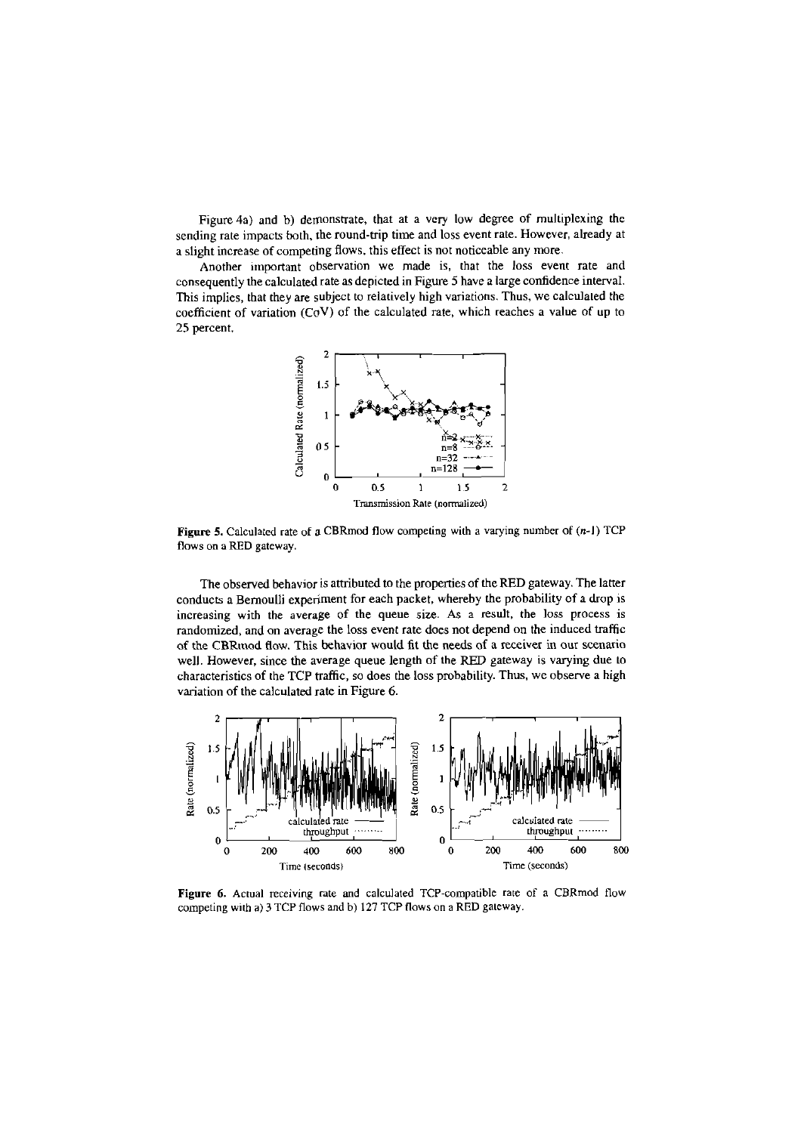Figure  $4a$ ) and b) demonstrate, that at a very low degree of multiplexing the sending rate impacts both, the round-trip time and loss event rate. However, already at a slight increase of competing flows, this effect is not noticeable any more.

Another important observation we made is, that the loss event rate and consequently the calculated rate as depicted in Figwe *5* have a large confidence interval. This implies, that they are subject to relatively high variations. Thus, we calculaied the coefficient of variation  $(CoV)$  of the calculated rate, which reaches a value of up to 25 percent.



Figure 5. Calculated rate of a CBRmod flow competing with a varying number of  $(n-1)$  TCP flows on a RED gateway.

The observed behavior is attributed to the properties of the RED gateway. The latter conducts a Bemoulli expetiment for each packet, whereby the probability of a drop is increasing with the avernge of the queue size. **As** a result. the loss process is randomized, and on average the loss event rate does not depend on the induced traffic of the CBRmod Bow. This behavior would fit the needs of a receiver in our **scenario**  well. However, since the average queue length of the RED gateway is varying due to characteristics of the TCP traffic, so does the loss probability. Thus, we observe a high variation of the calculated rate in Figwe 6.



Figure 6. Actual receiving rate **and** calculated TCP-compatible rare of a CBRrnad flow competing with a) 3 TCP flows and b) 127 TCP flows on a RED gateway.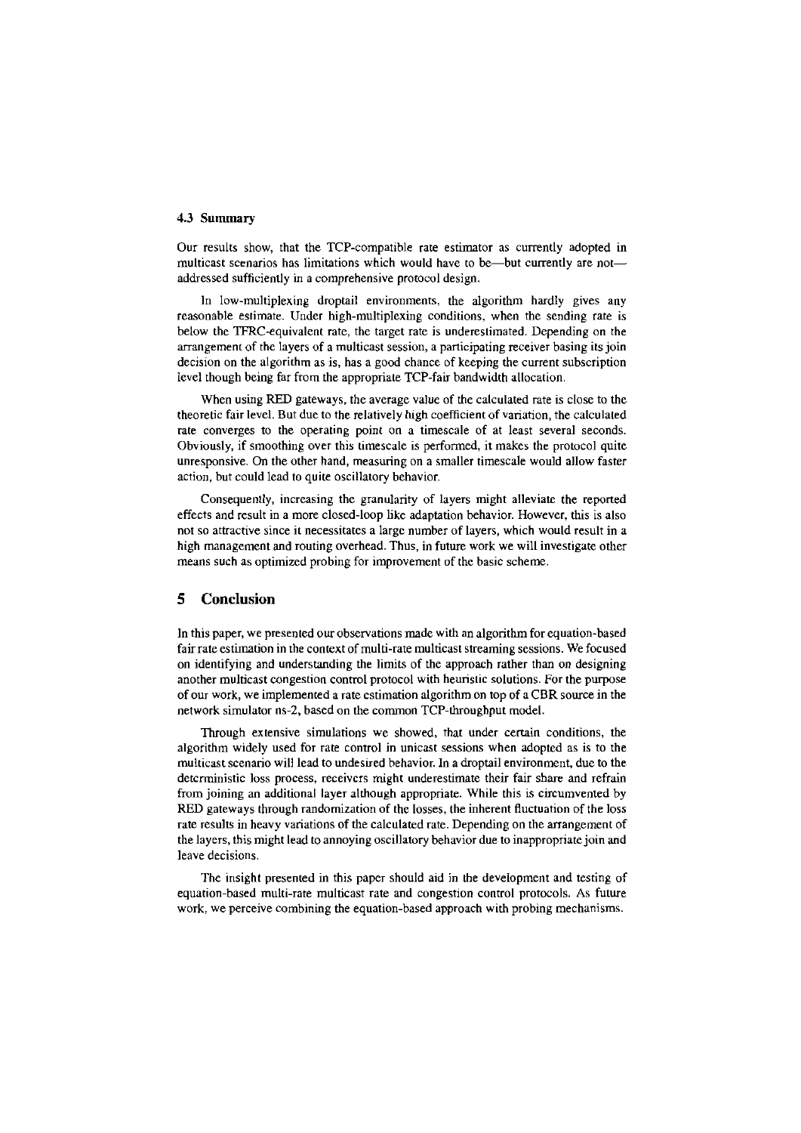#### **4.3 Summary**

Our results show, that the TCP-compatihle rate estimator as currently adopted in multicast scenarios has limitations which would have to be-but currently are notaddressed sufficiently in a comprehensive protocol design.

In low-multiplexing droptail environments, the algorithm hardly gives any reasonable esiimate. Under high-multiplexing conditions, when the sending rate is below the TFRC-equivalent rate, the target rate is underesiimated. Depending on the arrangement of the layers of a multicast session, a panicipating receiver basing its join decision on the algorithm as is, has a good chance of keeping the current subscription level though being far from the appropriate TCP-fair bandwidth allocation.

When using RED gateways, the average value of the calculated rate is close to the theoretic fair level. But due to the relatively high coefficient of variation, the calculated rate converges to the operating point on a timescale of at least several seconds. Obviously, if smoothing over this timescale is perfomed, it makes the protocol quite unresponsive. On the other hand, measuring on a smaller timescale would allow faster action, but could lead to quite oscillatory behavior.

Consequently, increasing the granularity of layers might alleviate the reported effects and result in a more closed-loop like adaptation behavior. However, this is also not so attractive since it necessitates a large number of layers, which would result in a high management and routing overhead. Thus, in future work we will investigate other means such as optimized probing for improvement of the basic scheme.

## **5 Conclusion**

In this paper, we presenied our observations made with an algorithm for equation-based fair rate estimation in the context of multi-rate multicast streaming sessions. We focused on identifying and understanding the limits of the approach rather than on designing another multicast congestion control protocol with heuristic solutions. For the purpose of our work, we implemented a rate cstimation algorithm on top of a CBR source in the network simulator ns-2, based on the common TCP-throughput model.

Through extensive simulations we showed, that under certain conditions, the algorithm widely used for rate control in unicast sessions when adopted as is to the multicast scenario will lead to undesired behavior. In a droptail environment. due to the detcrministic loss process, receivers might underestimate their fair share and refrain from joining an additional layer although appropriate. While this is circumvented by RED gateways through randomization of the losses, the inherent fluctuation of the loss rate results in heavy variations of the calculated rate. Depending on the arrangement of the layers, this might lead to annoying oscillatory behavior due to inappropriate join and leave decisions.

The insight presented in this paper should aid in the development and testing of equation-hased multi-rate multicast rate and congestion control protocols. As future work, we perceive combining the equation-based approach with probing mechanisms.